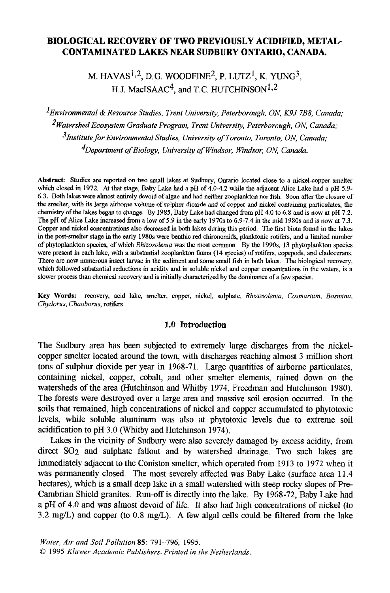# **BIOLOGICAL RECOVERY OF TWO PREVIOUSLY ACIDIFIED, METAL-CONTAMINATED LAKES NEAR SUDBURY ONTARIO, CANADA.**

M. HAVAS<sup>1,2</sup>, D.G. WOODFINE<sup>2</sup>, P. LUTZ<sup>1</sup>, K. YUNG<sup>3</sup>, H.J. MacISAAC<sup>4</sup>, and T.C. HUTCHINSON<sup>1,2</sup>

*1Environmental & Resource Studies, Trent University, Peterborough, ON, KgJ 7B8, Canada," 2Watershed Ecosystem Graduate Program, Trent University, Peterborc ugh, ON, Canada; 3Institute for Environmental Studies, University of Toronto, Toronto, ON, Canada," 4Department of Biology, University of Windsor, Windsor, ON, Canada.* 

**Abstract:** Studies are reported on two small lakes at Sudbury, Ontario located close to a nickel-copper smelter which closed in 1972. At that stage, Baby Lake had a pH of 4.0-4.2 while the adjacent Alice Lake had a pH 5.9-6.3. Both lakes were almost entirely devoid of algae and bad neither zooplankton nor fish. Soon after the closure of the smelter, with its large airborne volume of sulphur dioxide and of copper and nickel containing particulates, the chemistry of the lakes began to change. By 1985, Baby Lake had changed from pH 4.0 to 6.8 and is now at pH 7.2. The pH of Alice Lake increased from a low of 5.9 in the early 1970s to 6.9-7.4 in the mid 1980s and is now at 7.3. Copper and nickel concentrations also decreased in both lakes during this period. The first biota found in the lakes in the post-smelter stage in the early 1980s were benthic red chironomids, planktonic rotifers, and a limited number of phytoplankton species, of which *Rhizosolenia* was the most common. By the 1990s, 13 phytoplankton species were present in each lake, with a substantial zooplankton fauna (14 species) of rotifers, copepods, and eladocerans. There are now numerous insect larvae in the sediment and some small fish in both lakes. The biological recovery, which followed substantial reductions in acidity and in soluble nickel and copper concentrations in the waters, is a slower process than chemical recovery and is initially characterized by the dominance of a few species.

Key Words: recovery, acid lake, smelter, copper, nickel, sulphate, *Rhizosolenia, Cosmarium, Bosmina, Chydorus, Chaoborus,* rotifers

## 1.0 Introduction

The Sudbury area has been subjected to extremely large discharges from the nickelcopper smelter located around the town, with discharges reaching almost 3 million short tons of sulphur dioxide per year in 1968-71. Large quantifies of airborne particulates, containing nickel, copper, cobalt, and other smelter elements, rained down on the watersheds of the area (Hutchinson and Whitby 1974, Freedman and Hutchinson 1980). The forests were destroyed over a large area and massive soil erosion occurred. In the soils that remained, high concentrations of nickel and copper accumulated to phytotoxic levels, while soluble aluminum was also at phytotoxic levels due to extreme soil acidification to pH 3.0 (Whitby and Hutchinson 1974).

Lakes in the vicinity of Sudbury were also severely damaged by excess acidity, from direct SO2 and sulphate fallout and by watershed drainage. Two such lakes are immediately adjacent to the Coniston smelter, which operated from 1913 to 1972 when it was permanently closed. The most severely affected was Baby Lake (surface area 11.4 hectares), which is a small deep lake in a small watershed with steep rocky slopes of Pre-Cambrian Shield granites. Run-off is directly into the lake. By 1968-72, Baby Lake had a pH of 4.0 and was almost devoid of life. It also had high concentrations of nickel (to  $3.2 \text{ mg/L}$ ) and copper (to  $0.8 \text{ mg/L}$ ). A few algal cells could be filtered from the lake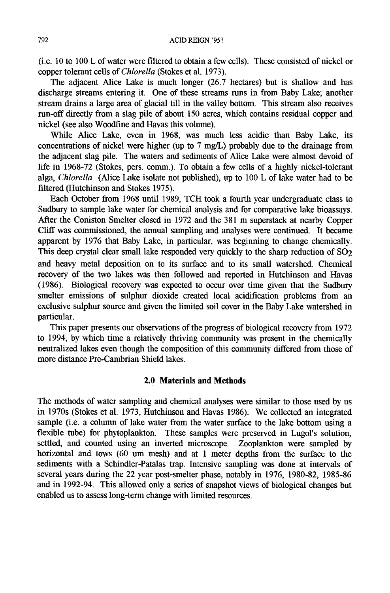(i.e. 10 to 100 L of water were filtered to obtain a few cells). These consisted of nickel or copper tolerant cells of *Chlorella* (Stokes et al. 1973).

The adjacent Alice Lake is much longer (26.7 hectares) but is shallow and has discharge streams entering it. One of these streams runs in from Baby Lake; another stream drains a large area of glacial till in the valley bottom. This stream also receives run-off directly from a slag pile of about 150 acres, which contains residual copper and nickel (see also Woodfine and Havas this volume).

While Alice Lake, even in 1968, was much less acidic than Baby Lake, its concentrations of nickel were higher (up to 7 mg/L) probably due to the drainage from the adjacent slag pile. The waters and sediments of Alice Lake were almost devoid of life in 1968-72 (Stokes, pers. comm.). To obtain a few cells of a highly nickel-tolerant alga, *Chlorella* (Alice Lake isolate not published), up to 100 L of lake water had to be filtered (Hutchinson and Stokes 1975).

Each October from 1968 until 1989, TCH took a fourth year undergraduate class to Sudbury to sample lake water for chemical analysis and for comparative lake bioassays. After the Coniston Smelter closed in 1972 and the 381 m superstack at nearby Copper Cliff was commissioned, the annual sampling and analyses were continued. It became apparent by 1976 that Baby Lake, in particular, was beginning to change chemically. This deep crystal clear small lake responded very quickly to the sharp reduction of  $SO<sub>2</sub>$ and heavy metal deposition on to its surface and to its small watershed. Chemical recovery of the two lakes was then followed and reported in Hutchinson and Havas (1986). Biological recovery was expected to occur over time given that the Sudbury smelter emissions of sulphur dioxide created local acidification problems from an exclusive sulphur source and given the limited soil cover in the Baby Lake watershed in particular.

This paper presents our observations of the progress of biological recovery from 1972 to 1994, by which time a relatively thriving community was present in the chemically neutralized lakes even though the composition of this community differed from those of more distance Pre-Cambrian Shield lakes.

## **2.0 Materials and Methods**

The methods of water sampling and chemical analyses were similar to those used by us in 1970s (Stokes et al. 1973, Hutchinson and Havas 1986). We collected an integrated sample (i.e. a column of lake water from the water surface to the lake bottom using a flexible tube) for phytoplankton. These samples were preserved in Lugol's solution, settled, and counted using an inverted microscope. Zooplankton were sampled by horizontal and tows (60 um mesh) and at 1 meter depths from the surface to the sediments with a Schindler-Patalas trap. Intensive sampling was done at intervals of several years during the 22 year post-smelter phase, notably in 1976, 1980-82, 1985-86 and in 1992-94. This allowed only a series of snapshot views of biological changes but enabled us to assess long-term change with limited resources.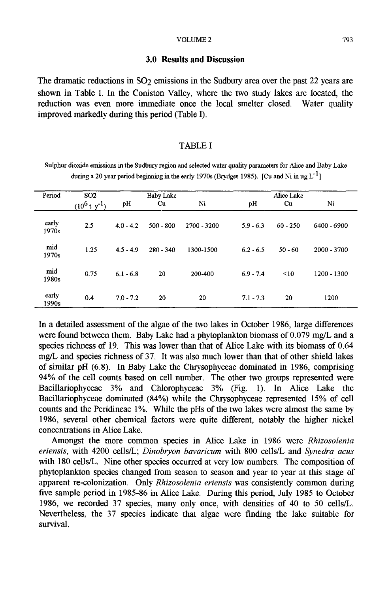#### **3.0 Results and Discussion**

The dramatic reductions in  $SO<sub>2</sub>$  emissions in the Sudbury area over the past 22 years are shown in Table I. In the Coniston Valley, where the two study lakes are located, the reduction was even more immediate once the local smelter closed. Water quality improved markedly during this period (Table I).

#### TABLE I

Sulphur dioxide emissions in the Sudbury region and selected water quality parameters for Alice and Baby Lake during a 20 year period beginning in the early 1970s (Brydges 1985). [Cu and Ni in ug  $L^{-1}$ ]

| Period         | SO <sub>2</sub>      | Baby Lake   |             |             | Alice Lake  |            |               |
|----------------|----------------------|-------------|-------------|-------------|-------------|------------|---------------|
|                | $(10^6$ t y $^{-1})$ | pH          | Cu          | Ni          | рH          | Cu         | Ni            |
| early<br>1970s | 2.5                  | $4.0 - 4.2$ | $500 - 800$ | 2700 - 3200 | $5.9 - 6.3$ | $60 - 250$ | 6400 - 6900   |
| mid<br>1970s   | 1.25                 | $4.5 - 4.9$ | $280 - 340$ | 1300-1500   | $6.2 - 6.5$ | $50 - 60$  | $2000 - 3700$ |
| mid<br>1980s   | 0.75                 | $6.1 - 6.8$ | 20          | 200-400     | $6.9 - 7.4$ | < 10       | 1200 - 1300   |
| early<br>1990s | 0.4                  | $7.0 - 7.2$ | 20          | 20          | $7.1 - 7.3$ | 20         | 1200          |

In a detailed assessment of the algae of the two lakes in October 1986, large differences were found between them. Baby Lake had a phytoplankton biomass of 0.079 mg/L and a species richness of 19. This was lower than that of Alice Lake with its biomass of 0.64 mg/L and species richness of 37. It was also much lower than that of other shield lakes of similar pH (6.8). In Baby Lake the Chrysophyceae dominated in 1986, comprising 94% of the cell counts based on cell number. The other two groups represented were Bacillariophyceae 3% and Chlorophyceae 3% (Fig. 1). In Alice Lake the Bacillariophyceae dominated (84%) while the Chrysophyceae represented 15% of cell counts and the Peridineae 1%. While the pHs of the two lakes were almost the same by 1986, several other chemical factors were quite different, notably the higher nickel concentrations in Alice Lake.

Amongst the more common species in Alice Lake in 1986 were *Rhizosolenia eriensis,* with 4200 cells/L; *Dinobryon bavaricum* with 800 cells/L and *Synedra acus*  with 180 cells/L. Nine other species occurred at very low numbers. The composition of phytoplankton species changed from season to season and year to year at this stage of apparent re-colonization. Only *Rhizosolenia eriensis* was consistently common during five sample period in 1985-86 in Alice Lake. During this period, July 1985 to October 1986, we recorded 37 species, many only once, with densities of 40 to 50 cells/L. Nevertheless, the 37 species indicate that algae were finding the lake suitable for survival.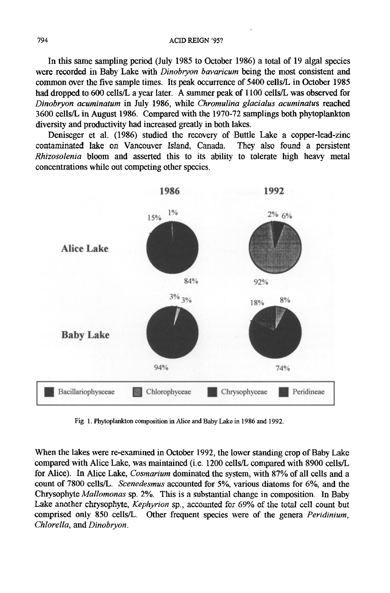In this same sampling period (July 1985 to October 1986) a total of 19 algal species were recorded in Baby Lake with *Dinobryon bavaricum* being the most consistent and common over the five sample times. Its peak occurrence of 5400 cells/L in October 1985 had dropped to 600 cells/L a year later. A summer peak of 1100 cells/L was observed for *Dinobryon acuminatum* in July 1986, while *Chromulina glacialus acuminatus* reached 3600 cells/L in August 1986. Compared with the 1970-72 samplings both phytoplankton diversity and productivity had increased greatly in both lakes.

Deniseger et al. (1986) studied the recovery of Buttle Lake a copper-lead-zinc contaminated lake on Vancouver Island, Canada. They also found a persistent *Rhizosolenia* bloom and asserted this to its ability to tolerate high heavy metal concentrations while out competing other species.



Fig. 1. Phytoplankton composition in Alice and Baby Lake in 1986 and 1992.

When the lakes were re-examined in October 1992, the lower standing crop of Baby Lake compared with Alice Lake, was maintained (i.e. 1200 cells/L compared with 8900 cells/L for Alice). In Alice Lake, *Cosmarium* dominated the system, with 87% of all cells and a count of 7800 cells/L. *Scenedesmus* accounted for 5%, various diatoms for 6%, and the Chrysophyte *Mallomonas* sp. 2%. This is a substantial change in composition. In Baby Lake another chrysophyte, *Kephyrion* sp., accounted for 69% of the total cell count but comprised only 850 cells/L. Other frequent species were of the genera *Peridinium, Chlorella, and Dinobryon.*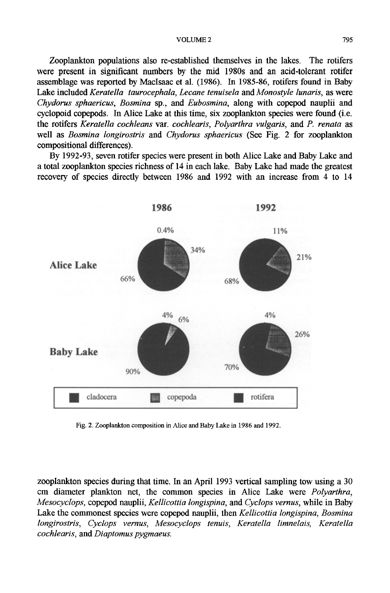#### VOLUME 2 795

Zooplankton populations also re-established themselves in the lakes. The rotifers were present in significant numbers by the mid 1980s and an acid-tolerant rotifer assemblage was reported by Maclsaac et al. (1986). In 1985-86, rotifers found in Baby Lake included *Keratella taurocephala, Lecane tenuisela and Monostyle lunaris,* as were *Chydorus sphaericus, Bosmina* sp., and *Eubosmina,* along with copepod nauplii and cyclopoid copepods. In Alice Lake at this time, six zooplankton species were found (i.e. the rotifers *Keratella cochleans var. cochlearis, Polyarthra vulgaris, and P. renata* as well as *Bosmina longirostris* and *Chydorus sphaericus* (See Fig. 2 for zooplankton compositional differences).

By 1992-93, seven rotifer species were present in both Alice Lake and Baby Lake and a total zooplankton species richness of 14 in each lake. Baby Lake had made the greatest recovery of species directly between 1986 and 1992 with an increase from 4 to 14



Fig. 2. Zooplankton composition in Alice and Baby Lake in 1986 and 1992.

zooplankton species during that time. In an April 1993 vertical sampling tow using a 30 cm diameter plankton net, the common species in Alice Lake were *Polyarthra, Mesocyclops,* copepod nauplii, *Kellicottia Iongispina, and Cyclops remus,* while in Baby Lake the commonest species were copepod nauplii, then *Kellicottia longispina, Bosrnina longirostris, Cyclops vernus, Mesocyclops tenuis, Keratella limnelais, Keratella cochlearis, and Diaptomus pygmaeus.*